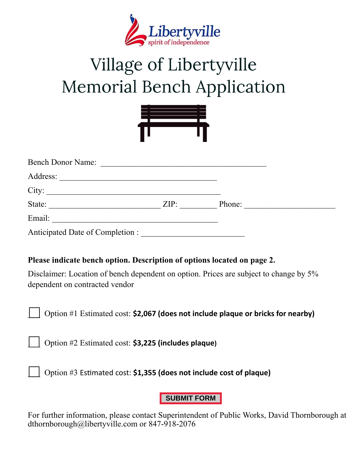

# Village of Libertyville **Memorial Bench Application**



| <b>Bench Donor Name:</b>         |      |        |
|----------------------------------|------|--------|
| Address:                         |      |        |
| City:                            |      |        |
| State:                           | ZIP: | Phone: |
| Email:                           |      |        |
| Anticipated Date of Completion : |      |        |

## **Please indicate bench option. Description of options located on page 2.**

Disclaimer: Location of bench dependent on option. Prices are subject to change by 5% dependent on contracted vendor

\_\_\_ Option #1 Estimated cost: **\$2,067 (does not include plaque or bricks for nearby)**

\_\_\_ Option #2 Estimated cost: **\$3,225 (includes plaque)**

\_\_\_ Option #3 Estimated cost: **\$1,355 (does not include cost of plaque)**

## **SUBMIT FORM**

For further information, please contact Superintendent of Public Works, David Thornborough at dthornborough@libertyville.com or 847-918-2076